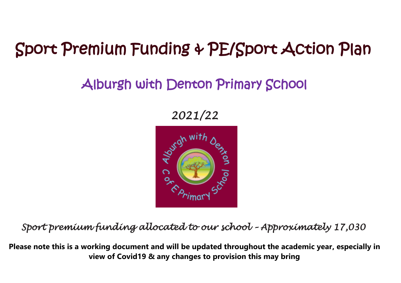## Sport Premium Funding & PE/Sport Action Plan

## Alburgh with Denton Primary School

*2021/22* 



*Sport premium funding allocated to our school – Approximately 17,030* 

**Please note this is a working document and will be updated throughout the academic year, especially in view of Covid19 & any changes to provision this may bring**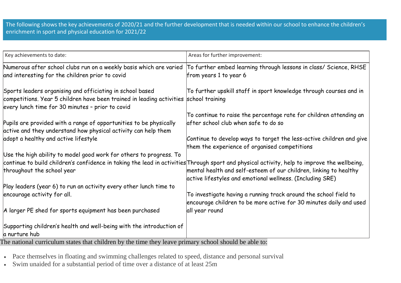The following shows the key achievements of 2020/21 and the further development that is needed within our school to enhance the children's enrichment in sport and physical education for 2021/22

| Areas for further improvement:                                                                                                                                              |
|-----------------------------------------------------------------------------------------------------------------------------------------------------------------------------|
| To further embed learning through lessons in class/ Science, RHSE<br>from years 1 to year 6                                                                                 |
| To further upskill staff in sport knowledge through courses and in<br>competitions. Year 5 children have been trained in leading activities school training                 |
| To continue to raise the percentage rate for children attending an                                                                                                          |
| after school club when safe to do so                                                                                                                                        |
|                                                                                                                                                                             |
| Continue to develop ways to target the less-active children and give                                                                                                        |
| them the experience of organised competitions                                                                                                                               |
|                                                                                                                                                                             |
| continue to build children's confidence in taking the lead in activities Through sport and physical activity, help to improve the wellbeing,                                |
| mental health and self-esteem of our children, linking to healthy                                                                                                           |
| active lifestyles and emotional wellness. (Including SRE)                                                                                                                   |
|                                                                                                                                                                             |
| To investigate having a running track around the school field to                                                                                                            |
| encourage children to be more active for 30 minutes daily and used                                                                                                          |
| all year round                                                                                                                                                              |
| Supporting children's health and well-being with the introduction of                                                                                                        |
|                                                                                                                                                                             |
| Numerous after school clubs run on a weekly basis which are varied<br>The national quoiquintum atotes that ghildren by the time thay leave primary school should be able to |

The national curriculum states that children by the time they leave primary school should be able to:

- Pace themselves in floating and swimming challenges related to speed, distance and personal survival
- Swim unaided for a substantial period of time over a distance of at least 25m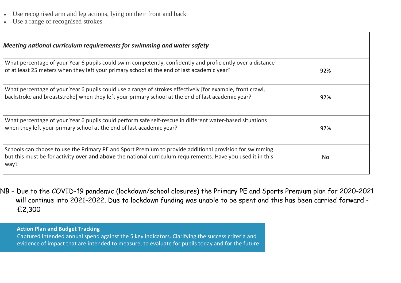- Use recognised arm and leg actions, lying on their front and back
- Use a range of recognised strokes

| Meeting national curriculum requirements for swimming and water safety                                                                                                                                                         |     |
|--------------------------------------------------------------------------------------------------------------------------------------------------------------------------------------------------------------------------------|-----|
| What percentage of your Year 6 pupils could swim competently, confidently and proficiently over a distance<br>of at least 25 meters when they left your primary school at the end of last academic year?                       | 92% |
| What percentage of your Year 6 pupils could use a range of strokes effectively [for example, front crawl,<br>backstroke and breaststroke] when they left your primary school at the end of last academic year?                 | 92% |
| What percentage of your Year 6 pupils could perform safe self-rescue in different water-based situations<br>when they left your primary school at the end of last academic year?                                               | 92% |
| Schools can choose to use the Primary PE and Sport Premium to provide additional provision for swimming<br>but this must be for activity over and above the national curriculum requirements. Have you used it in this<br>way? | No. |

NB – Due to the COVID-19 pandemic (lockdown/school closures) the Primary PE and Sports Premium plan for 2020-2021 will continue into 2021-2022. Due to lockdown funding was unable to be spent and this has been carried forward - £2,300

 **Action Plan and Budget Tracking** Captured intended annual spend against the 5 key indicators. Clarifying the success criteria and evidence of impact that are intended to measure, to evaluate for pupils today and for the future.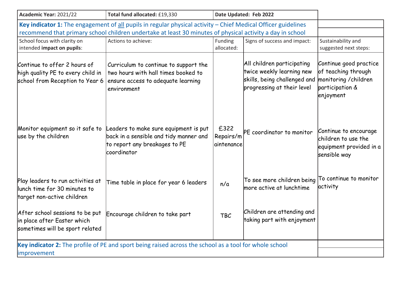| Academic Year: 2021/22                                                                                                | Total fund allocated: £19,330                                                                                                     |                                 | Date Updated: Feb 2022                                                                                                |                                                                                                        |
|-----------------------------------------------------------------------------------------------------------------------|-----------------------------------------------------------------------------------------------------------------------------------|---------------------------------|-----------------------------------------------------------------------------------------------------------------------|--------------------------------------------------------------------------------------------------------|
| Key indicator 1: The engagement of all pupils in regular physical activity $-$ Chief Medical Officer guidelines       |                                                                                                                                   |                                 |                                                                                                                       |                                                                                                        |
|                                                                                                                       | recommend that primary school children undertake at least 30 minutes of physical activity a day in school                         |                                 |                                                                                                                       |                                                                                                        |
| School focus with clarity on<br>intended impact on pupils:                                                            | Actions to achieve:                                                                                                               | <b>Funding</b><br>allocated:    | Signs of success and impact:                                                                                          | Sustainability and<br>suggested next steps:                                                            |
| Continue to offer 2 hours of<br>high quality PE to every child in<br>school from Reception to Year 6                  | Curriculum to continue to support the<br>two hours with hall times booked to<br>ensure access to adequate learning<br>environment |                                 | All children participating<br>twice weekly learning new<br>skills, being challenged and<br>progressing at their level | Continue good practice<br>of teaching through<br>monitoring / children<br>participation &<br>enjoyment |
| Monitor equipment so it safe to<br>use by the children                                                                | Leaders to make sure equipment is put<br>back in a sensible and tidy manner and<br>to report any breakages to PE<br>coordinator   | £322<br>Repairs/m<br>aintenance | PE coordinator to monitor                                                                                             | Continue to encourage<br>children to use the<br>equipment provided in a<br>sensible way                |
| Play leaders to run activities at<br>llunch time for 30 minutes to<br>target non-active children                      | Time table in place for year 6 leaders                                                                                            | n/a                             | To see more children being<br>more active at lunchtime                                                                | To continue to monitor<br>activity                                                                     |
| After school sessions to be put<br>in place after Easter which<br>sometimes will be sport related                     | Encourage children to take part                                                                                                   | <b>TBC</b>                      | Children are attending and<br>taking part with enjoyment                                                              |                                                                                                        |
| Key indicator 2: The profile of PE and sport being raised across the school as a tool for whole school<br>improvement |                                                                                                                                   |                                 |                                                                                                                       |                                                                                                        |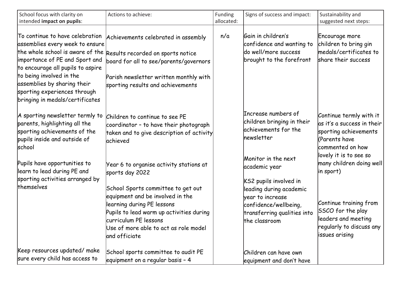| School focus with clarity on<br>intended impact on pupils:                                                                                                                                                                                                              | Actions to achieve:                                                                                                                                                                                                                                                                               | Funding<br>allocated: | Signs of success and impact:                                                                                                                                                           | Sustainability and<br>suggested next steps:                                                                                                                                         |
|-------------------------------------------------------------------------------------------------------------------------------------------------------------------------------------------------------------------------------------------------------------------------|---------------------------------------------------------------------------------------------------------------------------------------------------------------------------------------------------------------------------------------------------------------------------------------------------|-----------------------|----------------------------------------------------------------------------------------------------------------------------------------------------------------------------------------|-------------------------------------------------------------------------------------------------------------------------------------------------------------------------------------|
| To continue to have celebration<br>assemblies every week to ensure<br>importance of PE and Sport and<br>to encourage all pupils to aspire<br>to being involved in the<br>assemblies by sharing their<br>sporting experiences through<br>bringing in medals/certificates | Achievements celebrated in assembly<br>the whole school is aware of the Results recorded on sports notice<br>board for all to see/parents/governors<br>Parish newsletter written monthly with<br>sporting results and achievements                                                                | n/a                   | Gain in children's<br>confidence and wanting to<br>do well/more success<br>brought to the forefront                                                                                    | Encourage more<br>children to bring gin<br>medals/certificates to<br>share their success                                                                                            |
| A sporting newsletter termly to<br>parents, highlighting all the<br>sporting achievements of the<br>pupils inside and outside of<br>school                                                                                                                              | Children to continue to see PE<br>coordinator - to have their photograph<br>taken and to give description of activity<br><b>achieved</b>                                                                                                                                                          |                       | Increase numbers of<br>children bringing in their<br>achievements for the<br>hewsletter                                                                                                | Continue termly with it<br>as it's a success in their<br>sporting achievements<br>CParents have<br>commented on how                                                                 |
| Pupils have opportunities to<br>learn to lead during PE and<br>sporting activities arranged by<br>themselves                                                                                                                                                            | Year 6 to organise activity stations at<br>sports day 2022<br>School Sports committee to get out<br>equipment and be involved in the<br>learning during PE lessons<br>Pupils to lead warm up activities during<br>curriculum PE lessons<br>Use of more able to act as role model<br>and officiate |                       | Monitor in the next<br>academic year<br>KS2 pupils involved in<br>leading during academic<br>year to increase<br>confidence/wellbeing,<br>transferring qualities into<br>the classroom | lovely it is to see so<br>many children doing well<br>in sport)<br>Continue training from<br>SSCO for the play<br>leaders and meeting<br>regularly to discuss any<br>issues arising |
| Keep resources updated/ make<br>sure every child has access to                                                                                                                                                                                                          | School sports committee to audit PE<br>equipment on a regular basis - 4                                                                                                                                                                                                                           |                       | Children can have own<br>equipment and don't have                                                                                                                                      |                                                                                                                                                                                     |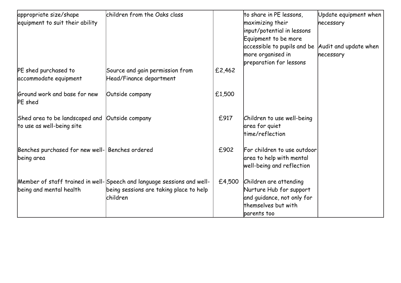| appropriate size/shape                          | children from the Oaks class                                           |        | to share in PE lessons,                               | Update equipment when |
|-------------------------------------------------|------------------------------------------------------------------------|--------|-------------------------------------------------------|-----------------------|
| equipment to suit their ability                 |                                                                        |        | maximizing their                                      | necessary             |
|                                                 |                                                                        |        | input/potential in lessons                            |                       |
|                                                 |                                                                        |        | Equipment to be more                                  |                       |
|                                                 |                                                                        |        | accessible to pupils and be $ $ Audit and update when |                       |
|                                                 |                                                                        |        | more organised in                                     | necessary             |
|                                                 |                                                                        |        | preparation for lessons                               |                       |
| PE shed purchased to<br>accommodate equipment   | Source and gain permission from<br>Head/Finance department             | £2,462 |                                                       |                       |
|                                                 |                                                                        |        |                                                       |                       |
| Ground work and base for new<br>PE shed         | Outside company                                                        | £1,500 |                                                       |                       |
| Shed area to be landscaped and Outside company  |                                                                        | £917   | Children to use well-being                            |                       |
| to use as well-being site                       |                                                                        |        | area for quiet                                        |                       |
|                                                 |                                                                        |        | time/reflection                                       |                       |
| Benches purchased for new well- Benches ordered |                                                                        | £902   | For children to use outdoor                           |                       |
| being area                                      |                                                                        |        | area to help with mental                              |                       |
|                                                 |                                                                        |        | well-being and reflection                             |                       |
|                                                 | Member of staff trained in well-Speech and language sessions and well- | £4,500 | Children are attending                                |                       |
| being and mental health                         | being sessions are taking place to help                                |        | Nurture Hub for support                               |                       |
|                                                 | <b>Ichildren</b>                                                       |        | and guidance, not only for                            |                       |
|                                                 |                                                                        |        | themselves but with                                   |                       |
|                                                 |                                                                        |        | parents too                                           |                       |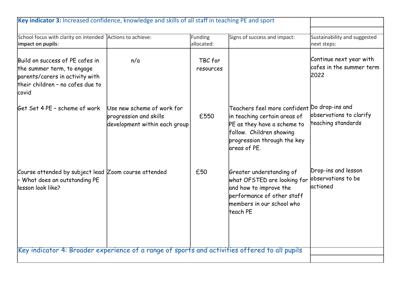| School focus with clarity on intended Actions to achieve:<br>allocated:<br>impact on pupils:<br>next steps:<br>Build on success of PE cafes in<br>TBC for<br>n/a<br>the summer term, to engage<br>resources<br>2022<br>parents/carers in activity with<br>their children - no cafes due to<br>covid<br>Teachers feel more confident Do drop-ins and<br>Use new scheme of work for<br>£550<br>in teaching certain areas of<br>progression and skills<br>teaching standards<br>PE as they have a scheme to<br>development within each group<br>follow. Children showing<br>progression through the key<br>lareas of PE.<br>Drop-ins and lesson<br>£50<br>Greater understanding of<br>observations to be<br>- What does an outstanding PE<br>what OFSTED are looking for<br><i>actioned</i><br>and how to improve the<br>performance of other staff<br>members in our school who<br>lteach PE |  |         |                              |                                                     |
|--------------------------------------------------------------------------------------------------------------------------------------------------------------------------------------------------------------------------------------------------------------------------------------------------------------------------------------------------------------------------------------------------------------------------------------------------------------------------------------------------------------------------------------------------------------------------------------------------------------------------------------------------------------------------------------------------------------------------------------------------------------------------------------------------------------------------------------------------------------------------------------------|--|---------|------------------------------|-----------------------------------------------------|
|                                                                                                                                                                                                                                                                                                                                                                                                                                                                                                                                                                                                                                                                                                                                                                                                                                                                                            |  | Funding | Signs of success and impact: | Sustainability and suggested                        |
| Get Set 4 PE - scheme of work                                                                                                                                                                                                                                                                                                                                                                                                                                                                                                                                                                                                                                                                                                                                                                                                                                                              |  |         |                              | Continue next year with<br>cafes in the summer term |
| Course attended by subject lead Zoom course attended<br>llesson look like?                                                                                                                                                                                                                                                                                                                                                                                                                                                                                                                                                                                                                                                                                                                                                                                                                 |  |         |                              | observations to clarify                             |
|                                                                                                                                                                                                                                                                                                                                                                                                                                                                                                                                                                                                                                                                                                                                                                                                                                                                                            |  |         |                              |                                                     |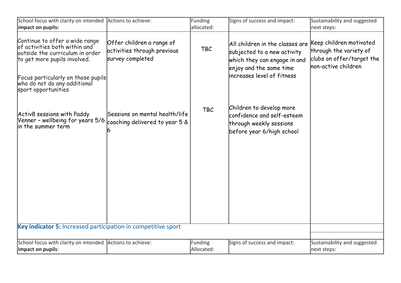| School focus with clarity on intended Actions to achieve:<br>impact on pupils:                                                                                                                                                  |                                                                              | Funding<br>allocated: | Signs of success and impact:                                                                                                                             | Sustainability and suggested<br>next steps:                                                           |
|---------------------------------------------------------------------------------------------------------------------------------------------------------------------------------------------------------------------------------|------------------------------------------------------------------------------|-----------------------|----------------------------------------------------------------------------------------------------------------------------------------------------------|-------------------------------------------------------------------------------------------------------|
| Continue to offer a wide range<br>of activities both within and<br>outside the curriculum in order<br>to get more pupils involved.<br>Focus particularly on those pupils<br>who do not do any additional<br>sport opportunities | Offer children a range of<br>activities through previous<br>survey completed | <b>TBC</b>            | All children in the classes are<br>subjected to a new activity<br>which they can engage in and<br>enjoy and the same time<br>lincreases level of fitness | Keep children motivated<br>through the variety of<br>clubs on offer/target the<br>non-active children |
| Activ8 sessions with Paddy<br>Venner - wellbeing for years 5/6<br>lin the summer term                                                                                                                                           | Sessions on mental health/life<br>coaching delivered to year 5 &             | <b>TBC</b>            | Children to develop more<br>confidence and self-esteem<br>through weekly sessions<br>before year 6/high school                                           |                                                                                                       |
|                                                                                                                                                                                                                                 |                                                                              |                       |                                                                                                                                                          |                                                                                                       |
|                                                                                                                                                                                                                                 |                                                                              |                       |                                                                                                                                                          |                                                                                                       |
| Key indicator 5: Increased participation in competitive sport                                                                                                                                                                   |                                                                              |                       |                                                                                                                                                          |                                                                                                       |
| School focus with clarity on intended Actions to achieve:<br>impact on pupils:                                                                                                                                                  |                                                                              | Funding<br>Allocated: | Signs of success and impact:                                                                                                                             | Sustainability and suggested<br>next steps:                                                           |